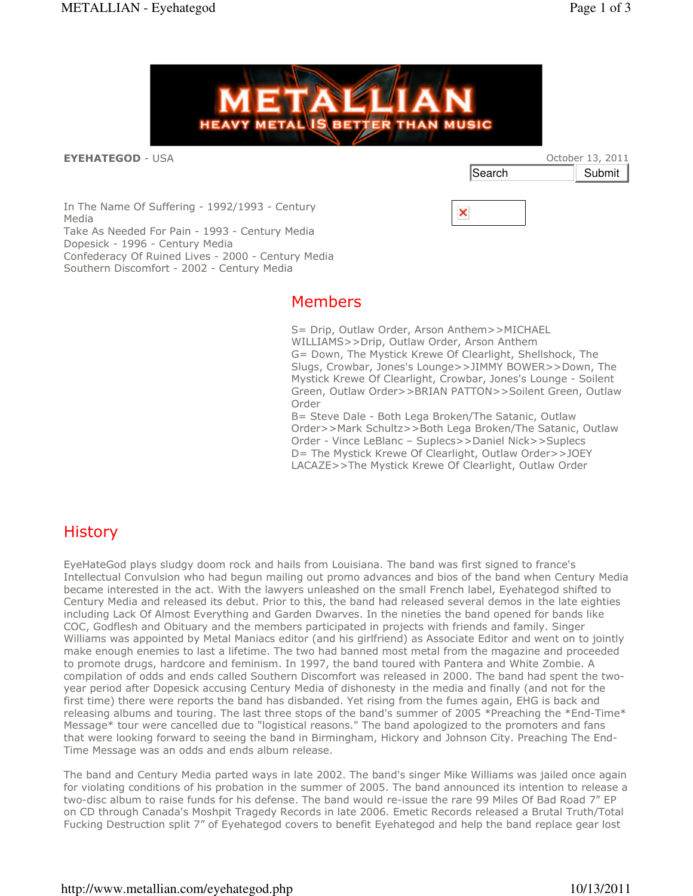

#### **EYEHATEGOD - USA**

|        | October 13, 2011 |        |
|--------|------------------|--------|
| Search |                  | Submit |

In The Name Of Suffering - 1992/1993 - Century Media Take As Needed For Pain - 1993 - Century Media Dopesick - 1996 - Century Media Confederacy Of Ruined Lives - 2000 - Century Media Southern Discomfort - 2002 - Century Media

### Members

S= Drip, Outlaw Order, Arson Anthem>>MICHAEL WILLIAMS>>Drip, Outlaw Order, Arson Anthem G= Down, The Mystick Krewe Of Clearlight, Shellshock, The Slugs, Crowbar, Jones's Lounge>>JIMMY BOWER>>Down, The Mystick Krewe Of Clearlight, Crowbar, Jones's Lounge - Soilent Green, Outlaw Order>>BRIAN PATTON>>Soilent Green, Outlaw Order

**PICK** 

×

B= Steve Dale - Both Lega Broken/The Satanic, Outlaw Order>>Mark Schultz>>Both Lega Broken/The Satanic, Outlaw Order - Vince LeBlanc – Suplecs>>Daniel Nick>>Suplecs D= The Mystick Krewe Of Clearlight, Outlaw Order>>JOEY LACAZE>>The Mystick Krewe Of Clearlight, Outlaw Order

## History

EyeHateGod plays sludgy doom rock and hails from Louisiana. The band was first signed to france's Intellectual Convulsion who had begun mailing out promo advances and bios of the band when Century Media became interested in the act. With the lawyers unleashed on the small French label, Eyehategod shifted to Century Media and released its debut. Prior to this, the band had released several demos in the late eighties including Lack Of Almost Everything and Garden Dwarves. In the nineties the band opened for bands like COC, Godflesh and Obituary and the members participated in projects with friends and family. Singer Williams was appointed by Metal Maniacs editor (and his girlfriend) as Associate Editor and went on to jointly make enough enemies to last a lifetime. The two had banned most metal from the magazine and proceeded to promote drugs, hardcore and feminism. In 1997, the band toured with Pantera and White Zombie. A compilation of odds and ends called Southern Discomfort was released in 2000. The band had spent the twoyear period after Dopesick accusing Century Media of dishonesty in the media and finally (and not for the first time) there were reports the band has disbanded. Yet rising from the fumes again, EHG is back and releasing albums and touring. The last three stops of the band's summer of 2005 \*Preaching the \*End-Time\* Message\* tour were cancelled due to "logistical reasons." The band apologized to the promoters and fans that were looking forward to seeing the band in Birmingham, Hickory and Johnson City. Preaching The End-Time Message was an odds and ends album release.

The band and Century Media parted ways in late 2002. The band's singer Mike Williams was jailed once again for violating conditions of his probation in the summer of 2005. The band announced its intention to release a two-disc album to raise funds for his defense. The band would re-issue the rare 99 Miles Of Bad Road 7" EP on CD through Canada's Moshpit Tragedy Records in late 2006. Emetic Records released a Brutal Truth/Total Fucking Destruction split 7" of Eyehategod covers to benefit Eyehategod and help the band replace gear lost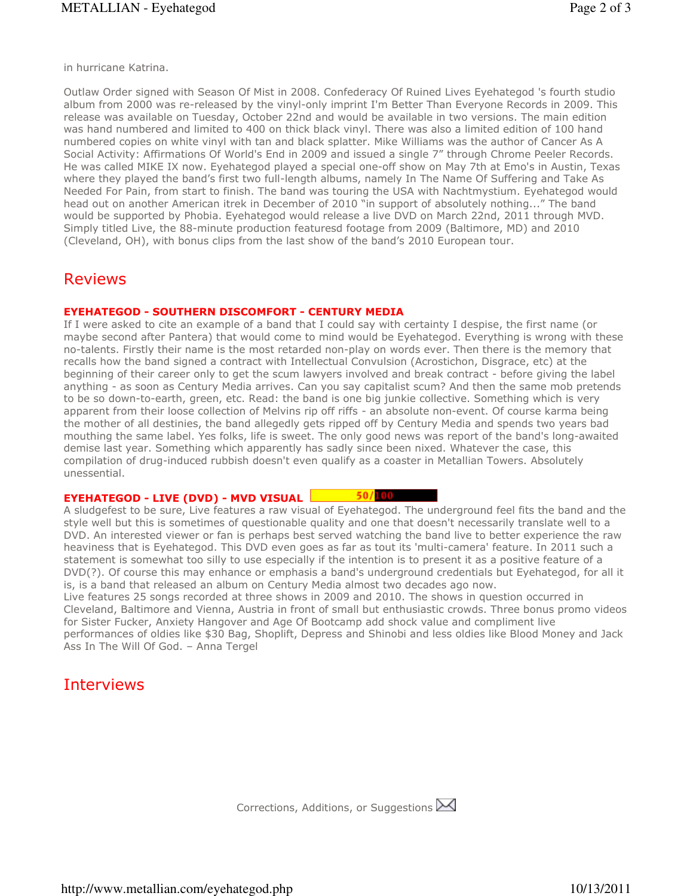in hurricane Katrina.

Outlaw Order signed with Season Of Mist in 2008. Confederacy Of Ruined Lives Eyehategod 's fourth studio album from 2000 was re-released by the vinyl-only imprint I'm Better Than Everyone Records in 2009. This release was available on Tuesday, October 22nd and would be available in two versions. The main edition was hand numbered and limited to 400 on thick black vinyl. There was also a limited edition of 100 hand numbered copies on white vinyl with tan and black splatter. Mike Williams was the author of Cancer As A Social Activity: Affirmations Of World's End in 2009 and issued a single 7" through Chrome Peeler Records. He was called MIKE IX now. Eyehategod played a special one-off show on May 7th at Emo's in Austin, Texas where they played the band's first two full-length albums, namely In The Name Of Suffering and Take As Needed For Pain, from start to finish. The band was touring the USA with Nachtmystium. Eyehategod would head out on another American itrek in December of 2010 "in support of absolutely nothing..." The band would be supported by Phobia. Eyehategod would release a live DVD on March 22nd, 2011 through MVD. Simply titled Live, the 88-minute production featuresd footage from 2009 (Baltimore, MD) and 2010 (Cleveland, OH), with bonus clips from the last show of the band's 2010 European tour.

### Reviews

#### EYEHATEGOD - SOUTHERN DISCOMFORT - CENTURY MEDIA

If I were asked to cite an example of a band that I could say with certainty I despise, the first name (or maybe second after Pantera) that would come to mind would be Eyehategod. Everything is wrong with these no-talents. Firstly their name is the most retarded non-play on words ever. Then there is the memory that recalls how the band signed a contract with Intellectual Convulsion (Acrostichon, Disgrace, etc) at the beginning of their career only to get the scum lawyers involved and break contract - before giving the label anything - as soon as Century Media arrives. Can you say capitalist scum? And then the same mob pretends to be so down-to-earth, green, etc. Read: the band is one big junkie collective. Something which is very apparent from their loose collection of Melvins rip off riffs - an absolute non-event. Of course karma being the mother of all destinies, the band allegedly gets ripped off by Century Media and spends two years bad mouthing the same label. Yes folks, life is sweet. The only good news was report of the band's long-awaited demise last year. Something which apparently has sadly since been nixed. Whatever the case, this compilation of drug-induced rubbish doesn't even qualify as a coaster in Metallian Towers. Absolutely unessential.

#### EYEHATEGOD - LIVE (DVD) - MVD VISUAL 50/100

A sludgefest to be sure, Live features a raw visual of Eyehategod. The underground feel fits the band and the style well but this is sometimes of questionable quality and one that doesn't necessarily translate well to a DVD. An interested viewer or fan is perhaps best served watching the band live to better experience the raw heaviness that is Eyehategod. This DVD even goes as far as tout its 'multi-camera' feature. In 2011 such a statement is somewhat too silly to use especially if the intention is to present it as a positive feature of a DVD(?). Of course this may enhance or emphasis a band's underground credentials but Eyehategod, for all it is, is a band that released an album on Century Media almost two decades ago now.

Live features 25 songs recorded at three shows in 2009 and 2010. The shows in question occurred in Cleveland, Baltimore and Vienna, Austria in front of small but enthusiastic crowds. Three bonus promo videos for Sister Fucker, Anxiety Hangover and Age Of Bootcamp add shock value and compliment live performances of oldies like \$30 Bag, Shoplift, Depress and Shinobi and less oldies like Blood Money and Jack Ass In The Will Of God. – Anna Tergel

# Interviews

Corrections, Additions, or Suggestions  $\boxtimes$